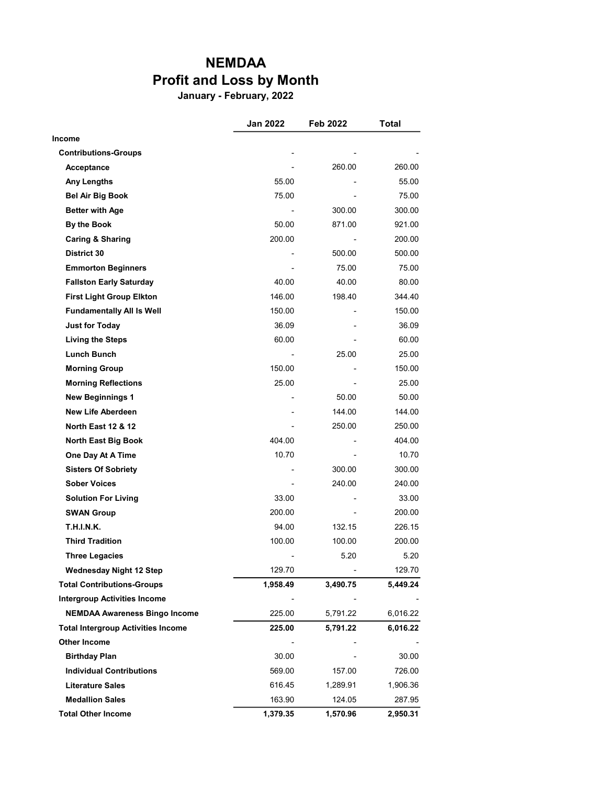## NEMDAA Profit and Loss by Month

January - February, 2022

|                                           | Jan 2022       | Feb 2022 | <b>Total</b> |
|-------------------------------------------|----------------|----------|--------------|
| Income                                    |                |          |              |
| <b>Contributions-Groups</b>               |                |          |              |
| Acceptance                                |                | 260.00   | 260.00       |
| <b>Any Lengths</b>                        | 55.00          |          | 55.00        |
| <b>Bel Air Big Book</b>                   | 75.00          |          | 75.00        |
| <b>Better with Age</b>                    | $\blacksquare$ | 300.00   | 300.00       |
| By the Book                               | 50.00          | 871.00   | 921.00       |
| <b>Caring &amp; Sharing</b>               | 200.00         |          | 200.00       |
| District 30                               |                | 500.00   | 500.00       |
| <b>Emmorton Beginners</b>                 |                | 75.00    | 75.00        |
| <b>Fallston Early Saturday</b>            | 40.00          | 40.00    | 80.00        |
| <b>First Light Group Elkton</b>           | 146.00         | 198.40   | 344.40       |
| <b>Fundamentally All Is Well</b>          | 150.00         |          | 150.00       |
| <b>Just for Today</b>                     | 36.09          |          | 36.09        |
| <b>Living the Steps</b>                   | 60.00          |          | 60.00        |
| <b>Lunch Bunch</b>                        |                | 25.00    | 25.00        |
| <b>Morning Group</b>                      | 150.00         |          | 150.00       |
| <b>Morning Reflections</b>                | 25.00          |          | 25.00        |
| <b>New Beginnings 1</b>                   |                | 50.00    | 50.00        |
| <b>New Life Aberdeen</b>                  |                | 144.00   | 144.00       |
| <b>North East 12 &amp; 12</b>             |                | 250.00   | 250.00       |
| <b>North East Big Book</b>                | 404.00         |          | 404.00       |
| One Day At A Time                         | 10.70          |          | 10.70        |
| <b>Sisters Of Sobriety</b>                |                | 300.00   | 300.00       |
| <b>Sober Voices</b>                       |                | 240.00   | 240.00       |
| <b>Solution For Living</b>                | 33.00          |          | 33.00        |
| <b>SWAN Group</b>                         | 200.00         |          | 200.00       |
| T.H.I.N.K.                                | 94.00          | 132.15   | 226.15       |
| <b>Third Tradition</b>                    | 100.00         | 100.00   | 200.00       |
| <b>Three Legacies</b>                     |                | 5.20     | 5.20         |
| <b>Wednesday Night 12 Step</b>            | 129.70         |          | 129.70       |
| <b>Total Contributions-Groups</b>         | 1,958.49       | 3,490.75 | 5,449.24     |
| <b>Intergroup Activities Income</b>       |                |          |              |
| <b>NEMDAA Awareness Bingo Income</b>      | 225.00         | 5,791.22 | 6,016.22     |
| <b>Total Intergroup Activities Income</b> | 225.00         | 5,791.22 | 6,016.22     |
| <b>Other Income</b>                       |                |          |              |
| <b>Birthday Plan</b>                      | 30.00          |          | 30.00        |
| <b>Individual Contributions</b>           | 569.00         | 157.00   | 726.00       |
| <b>Literature Sales</b>                   | 616.45         | 1,289.91 | 1,906.36     |
| <b>Medallion Sales</b>                    | 163.90         | 124.05   | 287.95       |
| <b>Total Other Income</b>                 | 1,379.35       | 1,570.96 | 2,950.31     |